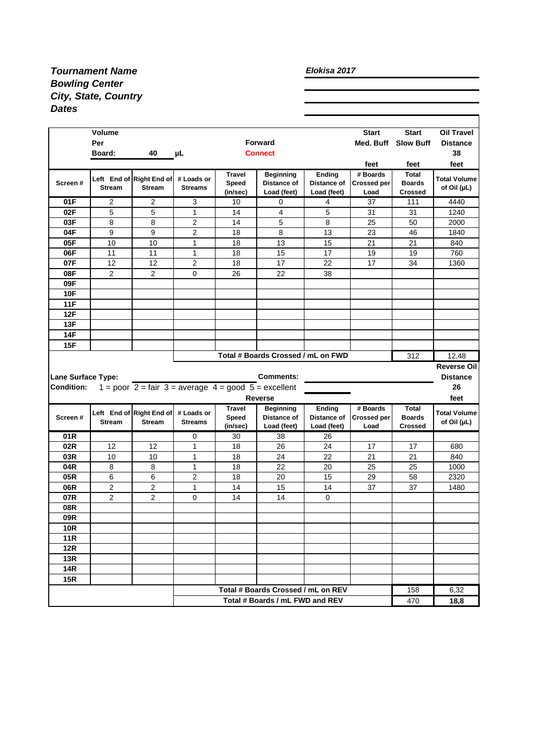## *Tournament Name Bowling Center City, State, Country Dates*

## *Elokisa 2017*

|                    | Volume<br>Per<br>40<br>Board:<br>μL       |                                                                                       |                              | <b>Forward</b><br><b>Connect</b>   |                                                |                                      | <b>Start</b><br>Med. Buff              | <b>Start</b><br><b>Slow Buff</b>                | <b>Oil Travel</b><br><b>Distance</b><br>38 |
|--------------------|-------------------------------------------|---------------------------------------------------------------------------------------|------------------------------|------------------------------------|------------------------------------------------|--------------------------------------|----------------------------------------|-------------------------------------------------|--------------------------------------------|
|                    |                                           |                                                                                       |                              |                                    |                                                |                                      | feet                                   | feet                                            | feet                                       |
| Screen#            | <b>Stream</b>                             | Left End of Right End of<br><b>Stream</b>                                             | # Loads or<br><b>Streams</b> | <b>Travel</b><br>Speed<br>(in/sec) | <b>Beginning</b><br>Distance of<br>Load (feet) | Ending<br>Distance of<br>Load (feet) | # Boards<br><b>Crossed per</b><br>Load | <b>Total</b><br><b>Boards</b><br><b>Crossed</b> | <b>Total Volume</b><br>of Oil (µL)         |
| 01F                | 2                                         | 2                                                                                     | 3                            | 10                                 | 0                                              | 4                                    | 37                                     | 111                                             | 4440                                       |
| 02F                | 5                                         | 5                                                                                     | $\mathbf{1}$                 | 14                                 | 4                                              | 5                                    | 31                                     | 31                                              | 1240                                       |
| 03F                | 8                                         | 8                                                                                     | 2                            | 14                                 | 5                                              | 8                                    | 25                                     | 50                                              | 2000                                       |
| 04F                | 9                                         | 9                                                                                     | 2                            | 18                                 | 8                                              | 13                                   | 23                                     | 46                                              | 1840                                       |
| 05F                | 10                                        | 10                                                                                    | 1                            | 18                                 | 13                                             | 15                                   | 21                                     | 21                                              | 840                                        |
| 06F                | 11                                        | 11                                                                                    | $\mathbf{1}$                 | 18                                 | 15                                             | 17                                   | 19                                     | 19                                              | 760                                        |
| 07F                | 12                                        | 12                                                                                    | 2                            | 18                                 | 17                                             | 22                                   | 17                                     | 34                                              | 1360                                       |
| 08F                | 2                                         | 2                                                                                     | 0                            | 26                                 | 22                                             | 38                                   |                                        |                                                 |                                            |
| 09F                |                                           |                                                                                       |                              |                                    |                                                |                                      |                                        |                                                 |                                            |
| <b>10F</b>         |                                           |                                                                                       |                              |                                    |                                                |                                      |                                        |                                                 |                                            |
| 11F                |                                           |                                                                                       |                              |                                    |                                                |                                      |                                        |                                                 |                                            |
| 12F                |                                           |                                                                                       |                              |                                    |                                                |                                      |                                        |                                                 |                                            |
| 13F                |                                           |                                                                                       |                              |                                    |                                                |                                      |                                        |                                                 |                                            |
| 14F                |                                           |                                                                                       |                              |                                    |                                                |                                      |                                        |                                                 |                                            |
| 15F                |                                           |                                                                                       |                              |                                    |                                                |                                      |                                        |                                                 |                                            |
|                    | Total # Boards Crossed / mL on FWD<br>312 |                                                                                       |                              |                                    |                                                |                                      |                                        |                                                 |                                            |
|                    |                                           |                                                                                       |                              |                                    |                                                |                                      |                                        |                                                 | 12,48                                      |
|                    |                                           |                                                                                       |                              |                                    |                                                |                                      |                                        |                                                 |                                            |
| Lane Surface Type: |                                           |                                                                                       |                              |                                    | <b>Comments:</b>                               |                                      |                                        |                                                 | Reverse Oil<br><b>Distance</b>             |
| <b>Condition:</b>  |                                           | 1 = poor $2 = \text{fair } 3 = \text{average } 4 = \text{good } 5 = \text{excellent}$ |                              |                                    |                                                |                                      |                                        |                                                 | 26                                         |
|                    |                                           |                                                                                       |                              |                                    | <b>Reverse</b>                                 |                                      |                                        |                                                 | feet                                       |
| Screen#            | <b>Stream</b>                             | Left End of Right End of<br><b>Stream</b>                                             | # Loads or<br><b>Streams</b> | <b>Travel</b><br>Speed<br>(in/sec) | <b>Beginning</b><br>Distance of<br>Load (feet) | Ending<br>Distance of<br>Load (feet) | # Boards<br><b>Crossed per</b><br>Load | <b>Total</b><br><b>Boards</b><br><b>Crossed</b> | <b>Total Volume</b><br>of Oil (µL)         |
| 01R                |                                           |                                                                                       | 0                            | 30                                 | 38                                             | 26                                   |                                        |                                                 |                                            |
| 02R                | 12                                        | 12                                                                                    | 1                            | 18                                 | 26                                             | 24                                   | 17                                     | 17                                              | 680                                        |
| 03R                | 10                                        | 10                                                                                    | 1                            | 18                                 | 24                                             | 22                                   | 21                                     | 21                                              | 840                                        |
| 04R                | 8                                         | 8                                                                                     | $\mathbf{1}$                 | 18                                 | 22                                             | 20                                   | 25                                     | 25                                              | 1000                                       |
| 05R                | 6                                         | 6                                                                                     | 2                            | 18                                 | 20                                             | 15                                   | 29                                     | 58                                              | 2320                                       |
| 06R                | $\overline{c}$                            | 2                                                                                     | 1                            | 14                                 | 15                                             | 14                                   | 37                                     | 37                                              | 1480                                       |
| 07R                | 2                                         | $\overline{2}$                                                                        | 0                            | 14                                 | 14                                             | 0                                    |                                        |                                                 |                                            |
| 08R                |                                           |                                                                                       |                              |                                    |                                                |                                      |                                        |                                                 |                                            |
| 09R                |                                           |                                                                                       |                              |                                    |                                                |                                      |                                        |                                                 |                                            |
| <b>10R</b>         |                                           |                                                                                       |                              |                                    |                                                |                                      |                                        |                                                 |                                            |
| <b>11R</b>         |                                           |                                                                                       |                              |                                    |                                                |                                      |                                        |                                                 |                                            |
| 12R                |                                           |                                                                                       |                              |                                    |                                                |                                      |                                        |                                                 |                                            |
| <b>13R</b>         |                                           |                                                                                       |                              |                                    |                                                |                                      |                                        |                                                 |                                            |
| <b>14R</b>         |                                           |                                                                                       |                              |                                    |                                                |                                      |                                        |                                                 |                                            |
| <b>15R</b>         |                                           |                                                                                       |                              |                                    |                                                |                                      |                                        |                                                 |                                            |
|                    |                                           |                                                                                       |                              |                                    | Total # Boards Crossed / mL on REV             |                                      |                                        | 158                                             | 6,32                                       |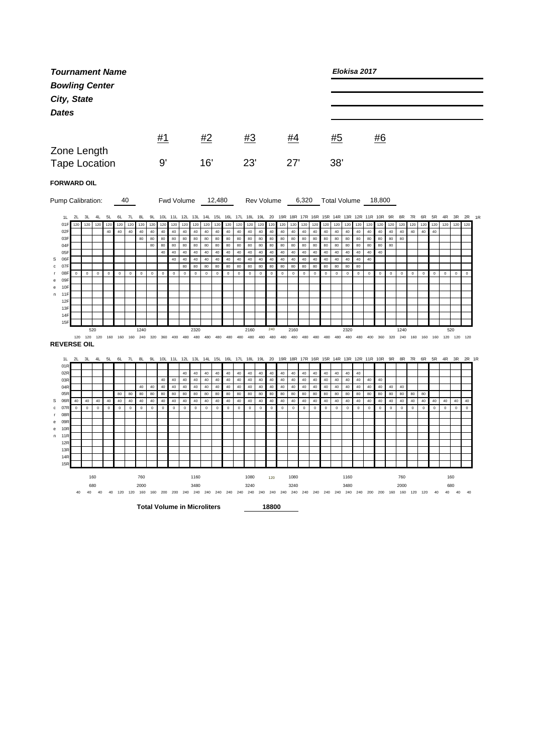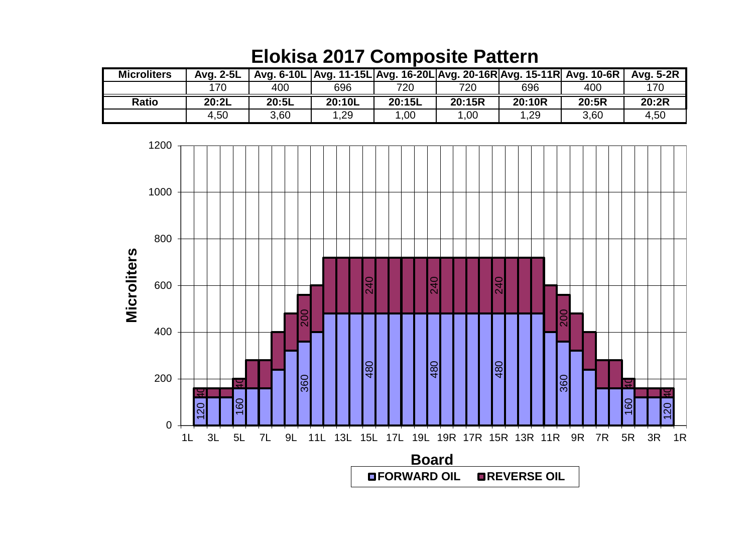| <b>Microliters</b> | Avg. 2-5L |       |        |        | Avg. 6-10L   Avg. 11-15L   Avg. 16-20L   Avg. 20-16R   Avg. 15-11R   Avg. 10-6R |        |       | Avg. 5-2R |
|--------------------|-----------|-------|--------|--------|---------------------------------------------------------------------------------|--------|-------|-----------|
|                    | 170       | 400   | 696    | 720    | 720                                                                             | 696    | 400   | 170       |
| <b>Ratio</b>       | 20:2L     | 20:5L | 20:10L | 20:15L | 20:15R                                                                          | 20:10R | 20:5R | 20:2R     |
|                    | 4,50      | 3,60  | ,29    | 1,00   | .00                                                                             | 1,29   | 3,60  | 4,50      |